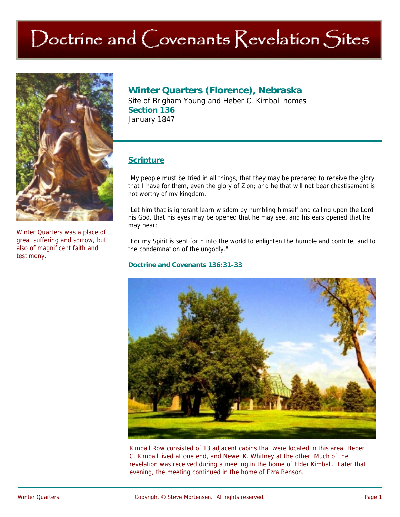# Doctrine and Covenants Revelation Sites



Winter Quarters was a place of great suffering and sorrow, but also of magnificent faith and testimony.

## **Winter Quarters (Florence), Nebraska**

Site of Brigham Young and Heber C. Kimball homes **Section 136**  January 1847

## **Scripture**

"My people must be tried in all things, that they may be prepared to receive the glory that I have for them, even the glory of Zion; and he that will not bear chastisement is not worthy of my kingdom.

"Let him that is ignorant learn wisdom by humbling himself and calling upon the Lord his God, that his eyes may be opened that he may see, and his ears opened that he may hear;

"For my Spirit is sent forth into the world to enlighten the humble and contrite, and to the condemnation of the ungodly."

#### **Doctrine and Covenants 136:31-33**



Kimball Row consisted of 13 adjacent cabins that were located in this area. Heber C. Kimball lived at one end, and Newel K. Whitney at the other. Much of the revelation was received during a meeting in the home of Elder Kimball. Later that evening, the meeting continued in the home of Ezra Benson.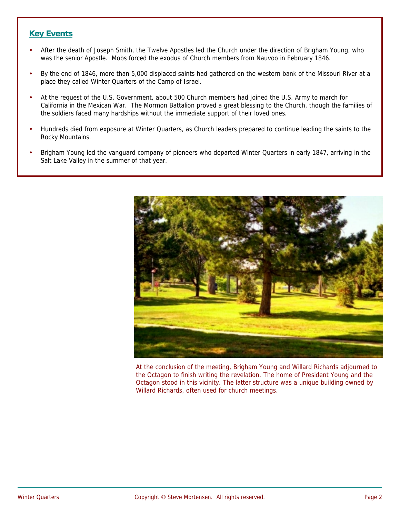## **Key Events**

- After the death of Joseph Smith, the Twelve Apostles led the Church under the direction of Brigham Young, who was the senior Apostle. Mobs forced the exodus of Church members from Nauvoo in February 1846.
- By the end of 1846, more than 5,000 displaced saints had gathered on the western bank of the Missouri River at a place they called Winter Quarters of the Camp of Israel.
- At the request of the U.S. Government, about 500 Church members had joined the U.S. Army to march for California in the Mexican War. The Mormon Battalion proved a great blessing to the Church, though the families of the soldiers faced many hardships without the immediate support of their loved ones.
- Hundreds died from exposure at Winter Quarters, as Church leaders prepared to continue leading the saints to the Rocky Mountains.
- Brigham Young led the vanguard company of pioneers who departed Winter Quarters in early 1847, arriving in the Salt Lake Valley in the summer of that year.



At the conclusion of the meeting, Brigham Young and Willard Richards adjourned to the Octagon to finish writing the revelation. The home of President Young and the Octagon stood in this vicinity. The latter structure was a unique building owned by Willard Richards, often used for church meetings.